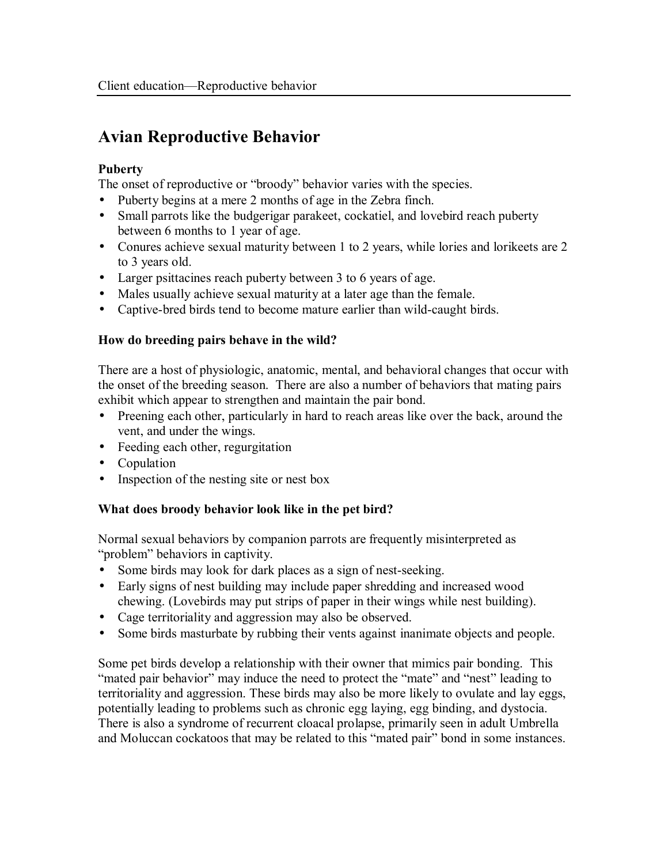# **Avian Reproductive Behavior**

### **Puberty**

The onset of reproductive or "broody" behavior varies with the species.

- Puberty begins at a mere 2 months of age in the Zebra finch.
- Small parrots like the budgerigar parakeet, cockatiel, and lovebird reach puberty between 6 months to 1 year of age.
- Conures achieve sexual maturity between 1 to 2 years, while lories and lorikeets are 2 to 3 years old.
- Larger psittacines reach puberty between 3 to 6 years of age.
- Males usually achieve sexual maturity at a later age than the female.
- Captive-bred birds tend to become mature earlier than wild-caught birds.

#### **How do breeding pairs behave in the wild?**

There are a host of physiologic, anatomic, mental, and behavioral changes that occur with the onset of the breeding season. There are also a number of behaviors that mating pairs exhibit which appear to strengthen and maintain the pair bond.

- Preening each other, particularly in hard to reach areas like over the back, around the vent, and under the wings.
- Feeding each other, regurgitation
- Copulation
- Inspection of the nesting site or nest box

# **What does broody behavior look like in the pet bird?**

Normal sexual behaviors by companion parrots are frequently misinterpreted as "problem" behaviors in captivity.

- Some birds may look for dark places as a sign of nest-seeking.
- Early signs of nest building may include paper shredding and increased wood chewing. (Lovebirds may put strips of paper in their wings while nest building).
- Cage territoriality and aggression may also be observed.
- Some birds masturbate by rubbing their vents against inanimate objects and people.

Some pet birds develop a relationship with their owner that mimics pair bonding. This "mated pair behavior" may induce the need to protect the "mate" and "nest" leading to territoriality and aggression. These birds may also be more likely to ovulate and lay eggs, potentially leading to problems such as chronic egg laying, egg binding, and dystocia. There is also a syndrome of recurrent cloacal prolapse, primarily seen in adult Umbrella and Moluccan cockatoos that may be related to this "mated pair" bond in some instances.